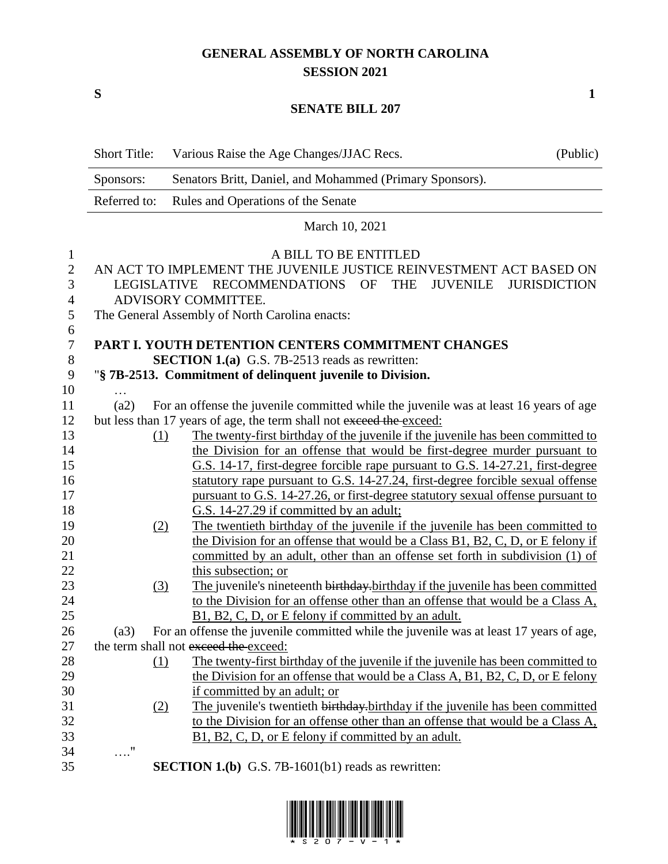## **GENERAL ASSEMBLY OF NORTH CAROLINA SESSION 2021**

**S 1**

## **SENATE BILL 207**

|                | <b>Short Title:</b> | Various Raise the Age Changes/JJAC Recs.                                               | (Public)            |
|----------------|---------------------|----------------------------------------------------------------------------------------|---------------------|
|                | Sponsors:           | Senators Britt, Daniel, and Mohammed (Primary Sponsors).                               |                     |
|                | Referred to:        | Rules and Operations of the Senate                                                     |                     |
|                |                     | March 10, 2021                                                                         |                     |
| 1              |                     | A BILL TO BE ENTITLED                                                                  |                     |
| $\mathbf{2}$   |                     | AN ACT TO IMPLEMENT THE JUVENILE JUSTICE REINVESTMENT ACT BASED ON                     |                     |
| 3              | <b>LEGISLATIVE</b>  | RECOMMENDATIONS OF<br><b>THE</b><br>JUVENILE                                           | <b>JURISDICTION</b> |
| $\overline{4}$ |                     | ADVISORY COMMITTEE.                                                                    |                     |
| 5              |                     | The General Assembly of North Carolina enacts:                                         |                     |
| 6              |                     |                                                                                        |                     |
| 7              |                     | PART I. YOUTH DETENTION CENTERS COMMITMENT CHANGES                                     |                     |
| 8              |                     | <b>SECTION 1.(a)</b> G.S. 7B-2513 reads as rewritten:                                  |                     |
| 9              |                     | "§ 7B-2513. Commitment of delinquent juvenile to Division.                             |                     |
| 10             |                     |                                                                                        |                     |
| 11             | (a2)                | For an offense the juvenile committed while the juvenile was at least 16 years of age  |                     |
| 12             |                     | but less than 17 years of age, the term shall not exceed the exceed:                   |                     |
| 13             | (1)                 | The twenty-first birthday of the juvenile if the juvenile has been committed to        |                     |
| 14             |                     | the Division for an offense that would be first-degree murder pursuant to              |                     |
| 15             |                     | G.S. 14-17, first-degree forcible rape pursuant to G.S. 14-27.21, first-degree         |                     |
| 16             |                     | statutory rape pursuant to G.S. 14-27.24, first-degree forcible sexual offense         |                     |
| 17             |                     | pursuant to G.S. 14-27.26, or first-degree statutory sexual offense pursuant to        |                     |
| 18             |                     | G.S. 14-27.29 if committed by an adult;                                                |                     |
| 19             | (2)                 | The twentieth birthday of the juvenile if the juvenile has been committed to           |                     |
| 20             |                     | the Division for an offense that would be a Class B1, B2, C, D, or E felony if         |                     |
| 21             |                     | committed by an adult, other than an offense set forth in subdivision (1) of           |                     |
| 22             |                     | this subsection; or                                                                    |                     |
| 23             | (3)                 | The juvenile's nineteenth birthday birthday if the juvenile has been committed         |                     |
| 24             |                     | to the Division for an offense other than an offense that would be a Class A,          |                     |
| 25             |                     | B1, B2, C, D, or E felony if committed by an adult.                                    |                     |
| 26             | (a3)                | For an offense the juvenile committed while the juvenile was at least 17 years of age, |                     |
| 27             |                     | the term shall not exceed the exceed:                                                  |                     |
| 28             | (1)                 | The twenty-first birthday of the juvenile if the juvenile has been committed to        |                     |
|                |                     | the Division for an offense that would be a Class A, B1, B2, C, D, or E felony         |                     |
| 29<br>30       |                     | if committed by an adult; or                                                           |                     |
|                |                     |                                                                                        |                     |
| 31             | (2)                 | The juvenile's twentieth birthday-birthday if the juvenile has been committed          |                     |
| 32             |                     | to the Division for an offense other than an offense that would be a Class A,          |                     |
| 33             |                     | B1, B2, C, D, or E felony if committed by an adult.                                    |                     |
| 34             | $\ldots$ "          |                                                                                        |                     |
| 35             |                     | <b>SECTION 1.(b)</b> G.S. 7B-1601(b1) reads as rewritten:                              |                     |

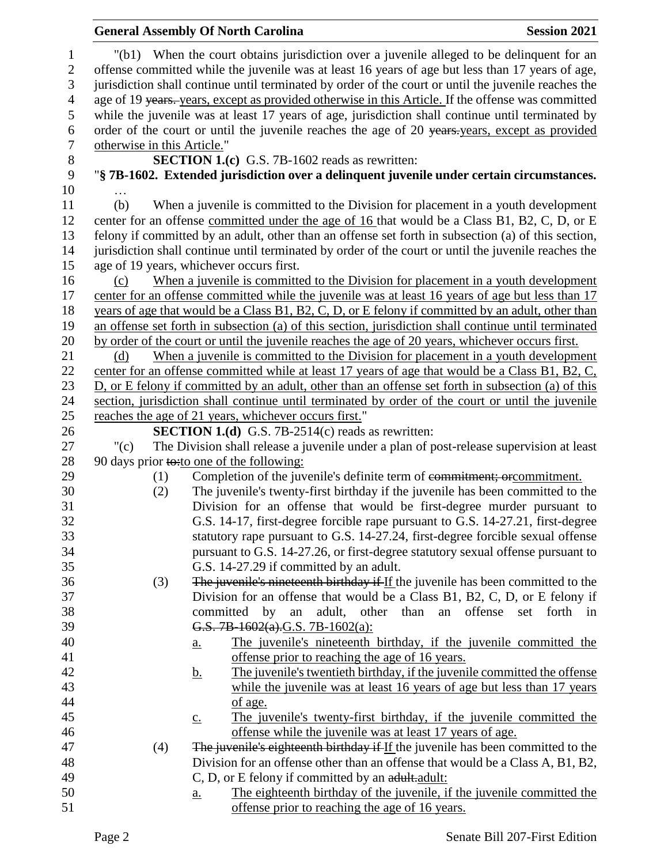| <b>General Assembly Of North Carolina</b>                                                                                                                                                                                     | <b>Session 2021</b>                                                                                 |  |  |  |  |  |  |
|-------------------------------------------------------------------------------------------------------------------------------------------------------------------------------------------------------------------------------|-----------------------------------------------------------------------------------------------------|--|--|--|--|--|--|
| "(b1) When the court obtains jurisdiction over a juvenile alleged to be delinquent for an<br>$\mathbf{1}$<br>offense committed while the juvenile was at least 16 years of age but less than 17 years of age,<br>$\mathbf{2}$ |                                                                                                     |  |  |  |  |  |  |
| $\mathfrak{Z}$<br>jurisdiction shall continue until terminated by order of the court or until the juvenile reaches the                                                                                                        |                                                                                                     |  |  |  |  |  |  |
| $\overline{4}$<br>age of 19 years. years, except as provided otherwise in this Article. If the offense was committed                                                                                                          |                                                                                                     |  |  |  |  |  |  |
| 5<br>while the juvenile was at least 17 years of age, jurisdiction shall continue until terminated by                                                                                                                         |                                                                                                     |  |  |  |  |  |  |
| 6<br>order of the court or until the juvenile reaches the age of 20 years years, except as provided                                                                                                                           |                                                                                                     |  |  |  |  |  |  |
| $\boldsymbol{7}$<br>otherwise in this Article."                                                                                                                                                                               |                                                                                                     |  |  |  |  |  |  |
| $8\,$<br>SECTION 1.(c) G.S. 7B-1602 reads as rewritten:                                                                                                                                                                       |                                                                                                     |  |  |  |  |  |  |
| 9<br>"§ 7B-1602. Extended jurisdiction over a delinquent juvenile under certain circumstances.<br>10                                                                                                                          |                                                                                                     |  |  |  |  |  |  |
| When a juvenile is committed to the Division for placement in a youth development<br>11<br>(b)                                                                                                                                |                                                                                                     |  |  |  |  |  |  |
| 12                                                                                                                                                                                                                            |                                                                                                     |  |  |  |  |  |  |
| 13                                                                                                                                                                                                                            | center for an offense committed under the age of 16 that would be a Class B1, B2, C, D, or E        |  |  |  |  |  |  |
| 14<br>jurisdiction shall continue until terminated by order of the court or until the juvenile reaches the                                                                                                                    | felony if committed by an adult, other than an offense set forth in subsection (a) of this section, |  |  |  |  |  |  |
| 15<br>age of 19 years, whichever occurs first.                                                                                                                                                                                |                                                                                                     |  |  |  |  |  |  |
| 16<br>When a juvenile is committed to the Division for placement in a youth development<br>(c)                                                                                                                                |                                                                                                     |  |  |  |  |  |  |
| center for an offense committed while the juvenile was at least 16 years of age but less than 17<br>17                                                                                                                        |                                                                                                     |  |  |  |  |  |  |
| 18<br>years of age that would be a Class B1, B2, C, D, or E felony if committed by an adult, other than                                                                                                                       |                                                                                                     |  |  |  |  |  |  |
| 19<br>an offense set forth in subsection (a) of this section, jurisdiction shall continue until terminated                                                                                                                    |                                                                                                     |  |  |  |  |  |  |
| 20<br>by order of the court or until the juvenile reaches the age of 20 years, whichever occurs first.                                                                                                                        |                                                                                                     |  |  |  |  |  |  |
| 21<br>When a juvenile is committed to the Division for placement in a youth development<br>(d)                                                                                                                                |                                                                                                     |  |  |  |  |  |  |
| 22<br>center for an offense committed while at least 17 years of age that would be a Class B1, B2, C,                                                                                                                         |                                                                                                     |  |  |  |  |  |  |
| 23<br>D, or E felony if committed by an adult, other than an offense set forth in subsection (a) of this                                                                                                                      |                                                                                                     |  |  |  |  |  |  |
| 24<br>section, jurisdiction shall continue until terminated by order of the court or until the juvenile                                                                                                                       |                                                                                                     |  |  |  |  |  |  |
| 25<br>reaches the age of 21 years, whichever occurs first."                                                                                                                                                                   |                                                                                                     |  |  |  |  |  |  |
| 26<br><b>SECTION 1.(d)</b> G.S. 7B-2514(c) reads as rewritten:                                                                                                                                                                |                                                                                                     |  |  |  |  |  |  |
| The Division shall release a juvenile under a plan of post-release supervision at least<br>27<br>"(c)                                                                                                                         |                                                                                                     |  |  |  |  |  |  |
| 28<br>90 days prior to: to one of the following:                                                                                                                                                                              |                                                                                                     |  |  |  |  |  |  |
| Completion of the juvenile's definite term of commitment; or commitment.<br>29<br>(1)                                                                                                                                         |                                                                                                     |  |  |  |  |  |  |
| 30<br>The juvenile's twenty-first birthday if the juvenile has been committed to the<br>(2)                                                                                                                                   |                                                                                                     |  |  |  |  |  |  |
| 31<br>Division for an offense that would be first-degree murder pursuant to                                                                                                                                                   |                                                                                                     |  |  |  |  |  |  |
| G.S. 14-17, first-degree forcible rape pursuant to G.S. 14-27.21, first-degree<br>32                                                                                                                                          |                                                                                                     |  |  |  |  |  |  |
| statutory rape pursuant to G.S. 14-27.24, first-degree forcible sexual offense<br>33                                                                                                                                          |                                                                                                     |  |  |  |  |  |  |
| pursuant to G.S. 14-27.26, or first-degree statutory sexual offense pursuant to<br>34                                                                                                                                         |                                                                                                     |  |  |  |  |  |  |
| 35<br>G.S. 14-27.29 if committed by an adult.                                                                                                                                                                                 |                                                                                                     |  |  |  |  |  |  |
| The juvenile's nineteenth birthday if If the juvenile has been committed to the<br>36<br>(3)                                                                                                                                  |                                                                                                     |  |  |  |  |  |  |
| 37<br>Division for an offense that would be a Class B1, B2, C, D, or E felony if                                                                                                                                              |                                                                                                     |  |  |  |  |  |  |
| 38<br>committed by<br>adult, other than<br>an<br>an<br>offense<br>set                                                                                                                                                         | forth in                                                                                            |  |  |  |  |  |  |
| 39<br>G.S. 7B-1602(a).G.S. 7B-1602(a):                                                                                                                                                                                        |                                                                                                     |  |  |  |  |  |  |
| 40<br>The juvenile's nineteenth birthday, if the juvenile committed the<br>a.                                                                                                                                                 |                                                                                                     |  |  |  |  |  |  |
| 41<br>offense prior to reaching the age of 16 years.                                                                                                                                                                          |                                                                                                     |  |  |  |  |  |  |
| The juvenile's twentieth birthday, if the juvenile committed the offense<br>42<br><u>b.</u>                                                                                                                                   |                                                                                                     |  |  |  |  |  |  |
| while the juvenile was at least 16 years of age but less than 17 years<br>43                                                                                                                                                  |                                                                                                     |  |  |  |  |  |  |
| 44<br>of age.<br>45                                                                                                                                                                                                           |                                                                                                     |  |  |  |  |  |  |
| The juvenile's twenty-first birthday, if the juvenile committed the<br>$\underline{c}$ .<br>offense while the juvenile was at least 17 years of age.<br>46                                                                    |                                                                                                     |  |  |  |  |  |  |
| 47                                                                                                                                                                                                                            |                                                                                                     |  |  |  |  |  |  |
| The juvenile's eighteenth birthday if If the juvenile has been committed to the<br>(4)<br>48<br>Division for an offense other than an offense that would be a Class A, B1, B2,                                                |                                                                                                     |  |  |  |  |  |  |
| 49<br>C, D, or E felony if committed by an adult.adult:                                                                                                                                                                       |                                                                                                     |  |  |  |  |  |  |
| 50<br>The eighteenth birthday of the juvenile, if the juvenile committed the<br>$\underline{a}$ .                                                                                                                             |                                                                                                     |  |  |  |  |  |  |
| offense prior to reaching the age of 16 years.<br>51                                                                                                                                                                          |                                                                                                     |  |  |  |  |  |  |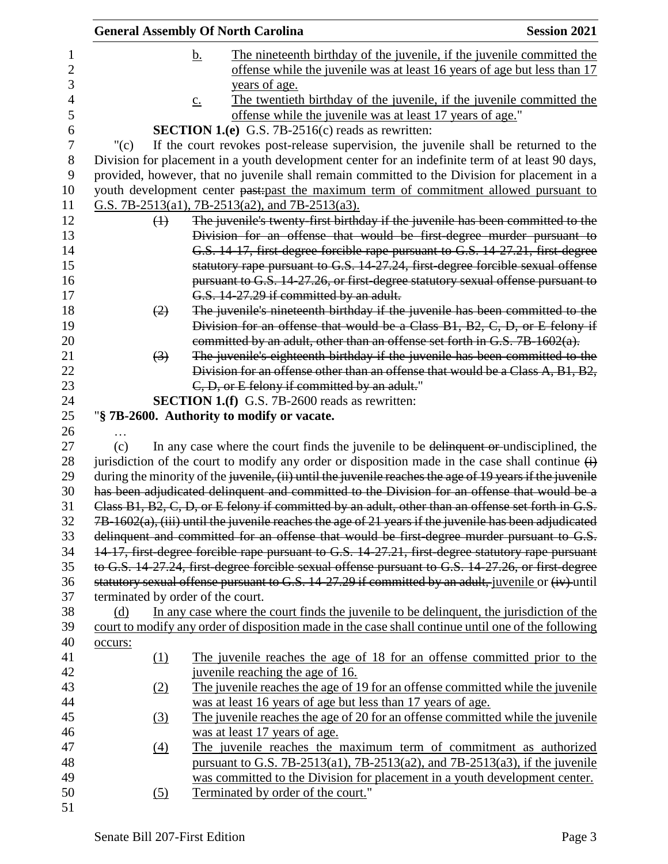| <b>General Assembly Of North Carolina</b> | <b>Session 2021</b> |                                                                            |                                                                                                                   |
|-------------------------------------------|---------------------|----------------------------------------------------------------------------|-------------------------------------------------------------------------------------------------------------------|
|                                           | <u>b.</u>           |                                                                            | The nineteenth birthday of the juvenile, if the juvenile committed the                                            |
|                                           |                     |                                                                            | offense while the juvenile was at least 16 years of age but less than 17                                          |
|                                           |                     | years of age.                                                              |                                                                                                                   |
|                                           | $\underline{c}$ .   |                                                                            | The twentieth birthday of the juvenile, if the juvenile committed the                                             |
|                                           |                     | offense while the juvenile was at least 17 years of age."                  |                                                                                                                   |
|                                           |                     | <b>SECTION 1.(e)</b> G.S. 7B-2516(c) reads as rewritten:                   |                                                                                                                   |
| " $(c)$                                   |                     |                                                                            | If the court revokes post-release supervision, the juvenile shall be returned to the                              |
|                                           |                     |                                                                            | Division for placement in a youth development center for an indefinite term of at least 90 days,                  |
|                                           |                     |                                                                            | provided, however, that no juvenile shall remain committed to the Division for placement in a                     |
|                                           |                     |                                                                            | youth development center past-past the maximum term of commitment allowed pursuant to                             |
|                                           |                     | G.S. 7B-2513(a1), 7B-2513(a2), and 7B-2513(a3).                            |                                                                                                                   |
| $\leftrightarrow$                         |                     |                                                                            | The juvenile's twenty-first birthday if the juvenile has been committed to the                                    |
|                                           |                     |                                                                            | Division for an offense that would be first-degree murder pursuant to                                             |
|                                           |                     |                                                                            | G.S. 14-17, first-degree forcible rape pursuant to G.S. 14-27.21, first-degree                                    |
|                                           |                     |                                                                            | statutory rape pursuant to G.S. 14-27.24, first-degree forcible sexual offense                                    |
|                                           |                     |                                                                            | pursuant to G.S. 14-27.26, or first-degree statutory sexual offense pursuant to                                   |
|                                           |                     | G.S. 14-27.29 if committed by an adult.                                    |                                                                                                                   |
| (2)                                       |                     |                                                                            | The juvenile's nineteenth birthday if the juvenile has been committed to the                                      |
|                                           |                     |                                                                            | Division for an offense that would be a Class B1, B2, C, D, or E felony if                                        |
|                                           |                     | committed by an adult, other than an offense set forth in G.S. 7B-1602(a). |                                                                                                                   |
| $\left(3\right)$                          |                     |                                                                            | The juvenile's eighteenth birthday if the juvenile has been committed to the                                      |
|                                           |                     |                                                                            | Division for an offense other than an offense that would be a Class A, B1, B2,                                    |
|                                           |                     | C, D, or E felony if committed by an adult."                               |                                                                                                                   |
|                                           |                     | <b>SECTION 1.(f)</b> G.S. 7B-2600 reads as rewritten:                      |                                                                                                                   |
|                                           |                     | "§ 7B-2600. Authority to modify or vacate.                                 |                                                                                                                   |
|                                           |                     |                                                                            |                                                                                                                   |
| (c)                                       |                     |                                                                            | In any case where the court finds the juvenile to be delinquent or undisciplined, the                             |
|                                           |                     |                                                                            | jurisdiction of the court to modify any order or disposition made in the case shall continue $\overrightarrow{H}$ |
|                                           |                     |                                                                            | during the minority of the juvenile, (ii) until the juvenile reaches the age of 19 years if the juvenile          |
|                                           |                     |                                                                            | has been adjudicated delinquent and committed to the Division for an offense that would be a                      |
|                                           |                     |                                                                            | Class B1, B2, C, D, or E felony if committed by an adult, other than an offense set forth in G.S.                 |
|                                           |                     |                                                                            | $7B-1602(a)$ , (iii) until the juvenile reaches the age of 21 years if the juvenile has been adjudicated          |
|                                           |                     |                                                                            | delinquent and committed for an offense that would be first degree murder pursuant to G.S.                        |
|                                           |                     |                                                                            | 14-17, first-degree forcible rape pursuant to G.S. 14-27.21, first-degree statutory rape pursuant                 |
|                                           |                     |                                                                            | to G.S. 14-27.24, first-degree forcible sexual offense pursuant to G.S. 14-27.26, or first-degree                 |
|                                           |                     |                                                                            | statutory sexual offense pursuant to G.S. 14-27.29 if committed by an adult, juvenile or (iv) until               |
| terminated by order of the court.         |                     |                                                                            |                                                                                                                   |
| (d)                                       |                     |                                                                            | In any case where the court finds the juvenile to be delinquent, the jurisdiction of the                          |
|                                           |                     |                                                                            | court to modify any order of disposition made in the case shall continue until one of the following               |
| occurs:                                   |                     |                                                                            |                                                                                                                   |
| $\Omega$                                  |                     |                                                                            | The juvenile reaches the age of 18 for an offense committed prior to the                                          |
|                                           |                     | juvenile reaching the age of 16.                                           |                                                                                                                   |
| (2)                                       |                     |                                                                            | The juvenile reaches the age of 19 for an offense committed while the juvenile                                    |
|                                           |                     | was at least 16 years of age but less than 17 years of age.                |                                                                                                                   |
| (3)                                       |                     |                                                                            | The juvenile reaches the age of 20 for an offense committed while the juvenile                                    |
|                                           |                     | was at least 17 years of age.                                              |                                                                                                                   |
| $\underline{(4)}$                         |                     |                                                                            | The juvenile reaches the maximum term of commitment as authorized                                                 |
|                                           |                     |                                                                            | pursuant to G.S. 7B-2513(a1), 7B-2513(a2), and 7B-2513(a3), if the juvenile                                       |
|                                           |                     |                                                                            | was committed to the Division for placement in a youth development center.                                        |
| (5)                                       |                     | Terminated by order of the court."                                         |                                                                                                                   |
|                                           |                     |                                                                            |                                                                                                                   |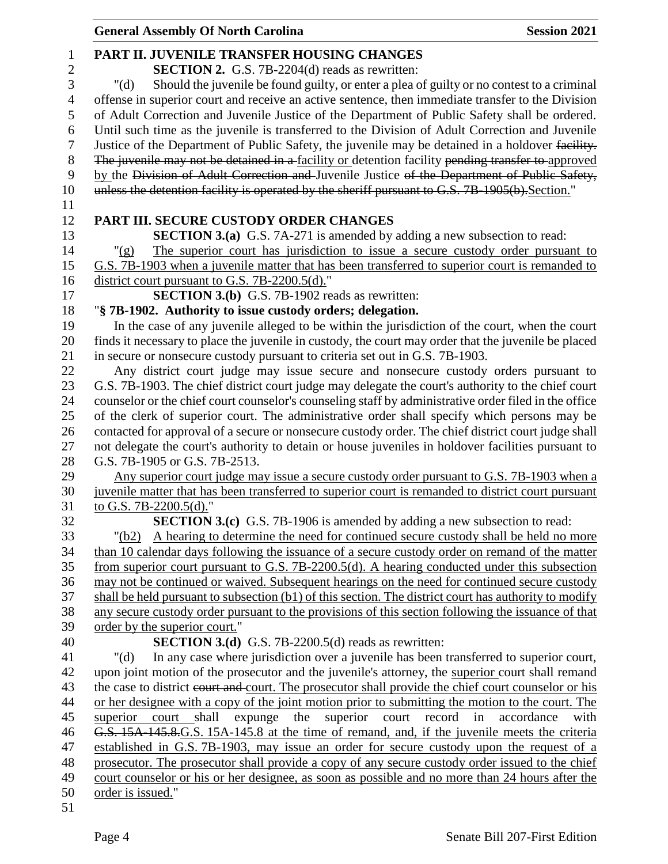| <b>General Assembly Of North Carolina</b>                                                             | <b>Session 2021</b> |
|-------------------------------------------------------------------------------------------------------|---------------------|
| PART II. JUVENILE TRANSFER HOUSING CHANGES                                                            |                     |
| <b>SECTION 2.</b> G.S. 7B-2204(d) reads as rewritten:                                                 |                     |
| Should the juvenile be found guilty, or enter a plea of guilty or no contest to a criminal<br>" $(d)$ |                     |
| offense in superior court and receive an active sentence, then immediate transfer to the Division     |                     |
| of Adult Correction and Juvenile Justice of the Department of Public Safety shall be ordered.         |                     |
| Until such time as the juvenile is transferred to the Division of Adult Correction and Juvenile       |                     |
| Justice of the Department of Public Safety, the juvenile may be detained in a holdover facility.      |                     |
| The juvenile may not be detained in a facility or detention facility pending transfer to approved     |                     |
| by the Division of Adult Correction and Juvenile Justice of the Department of Public Safety,          |                     |
| unless the detention facility is operated by the sheriff pursuant to G.S. 7B-1905(b). Section."       |                     |
|                                                                                                       |                     |
| PART III. SECURE CUSTODY ORDER CHANGES                                                                |                     |
| <b>SECTION 3.(a)</b> G.S. 7A-271 is amended by adding a new subsection to read:                       |                     |
| The superior court has jurisdiction to issue a secure custody order pursuant to<br>" $(g)$            |                     |
| G.S. 7B-1903 when a juvenile matter that has been transferred to superior court is remanded to        |                     |
| district court pursuant to G.S. 7B-2200.5(d)."                                                        |                     |
| <b>SECTION 3.(b)</b> G.S. 7B-1902 reads as rewritten:                                                 |                     |
| "§ 7B-1902. Authority to issue custody orders; delegation.                                            |                     |
| In the case of any juvenile alleged to be within the jurisdiction of the court, when the court        |                     |
| finds it necessary to place the juvenile in custody, the court may order that the juvenile be placed  |                     |
| in secure or nonsecure custody pursuant to criteria set out in G.S. 7B-1903.                          |                     |
| Any district court judge may issue secure and nonsecure custody orders pursuant to                    |                     |
| G.S. 7B-1903. The chief district court judge may delegate the court's authority to the chief court    |                     |
| counselor or the chief court counselor's counseling staff by administrative order filed in the office |                     |
| of the clerk of superior court. The administrative order shall specify which persons may be           |                     |
| contacted for approval of a secure or nonsecure custody order. The chief district court judge shall   |                     |
| not delegate the court's authority to detain or house juveniles in holdover facilities pursuant to    |                     |
| G.S. 7B-1905 or G.S. 7B-2513.                                                                         |                     |
| Any superior court judge may issue a secure custody order pursuant to G.S. 7B-1903 when a             |                     |
| juvenile matter that has been transferred to superior court is remanded to district court pursuant    |                     |
| to G.S. 7B-2200.5(d)."                                                                                |                     |
| <b>SECTION 3.(c)</b> G.S. 7B-1906 is amended by adding a new subsection to read:                      |                     |
| A hearing to determine the need for continued secure custody shall be held no more<br>"(b2)           |                     |
| than 10 calendar days following the issuance of a secure custody order on remand of the matter        |                     |
| from superior court pursuant to G.S. 7B-2200.5(d). A hearing conducted under this subsection          |                     |
| may not be continued or waived. Subsequent hearings on the need for continued secure custody          |                     |
| shall be held pursuant to subsection (b1) of this section. The district court has authority to modify |                     |
| any secure custody order pursuant to the provisions of this section following the issuance of that    |                     |
| order by the superior court."<br><b>SECTION 3.(d)</b> G.S. 7B-2200.5(d) reads as rewritten:           |                     |
| In any case where jurisdiction over a juvenile has been transferred to superior court,<br>" $(d)$     |                     |
| upon joint motion of the prosecutor and the juvenile's attorney, the superior court shall remand      |                     |
| the case to district court and court. The prosecutor shall provide the chief court counselor or his   |                     |
| or her designee with a copy of the joint motion prior to submitting the motion to the court. The      |                     |
| superior court record<br>superior<br>court shall<br>expunge<br>the<br>in                              | accordance<br>with  |
| G.S. 15A-145.8. G.S. 15A-145.8 at the time of remand, and, if the juvenile meets the criteria         |                     |
| established in G.S. 7B-1903, may issue an order for secure custody upon the request of a              |                     |
| prosecutor. The prosecutor shall provide a copy of any secure custody order issued to the chief       |                     |
| court counselor or his or her designee, as soon as possible and no more than 24 hours after the       |                     |
| order is issued."                                                                                     |                     |
|                                                                                                       |                     |
|                                                                                                       |                     |